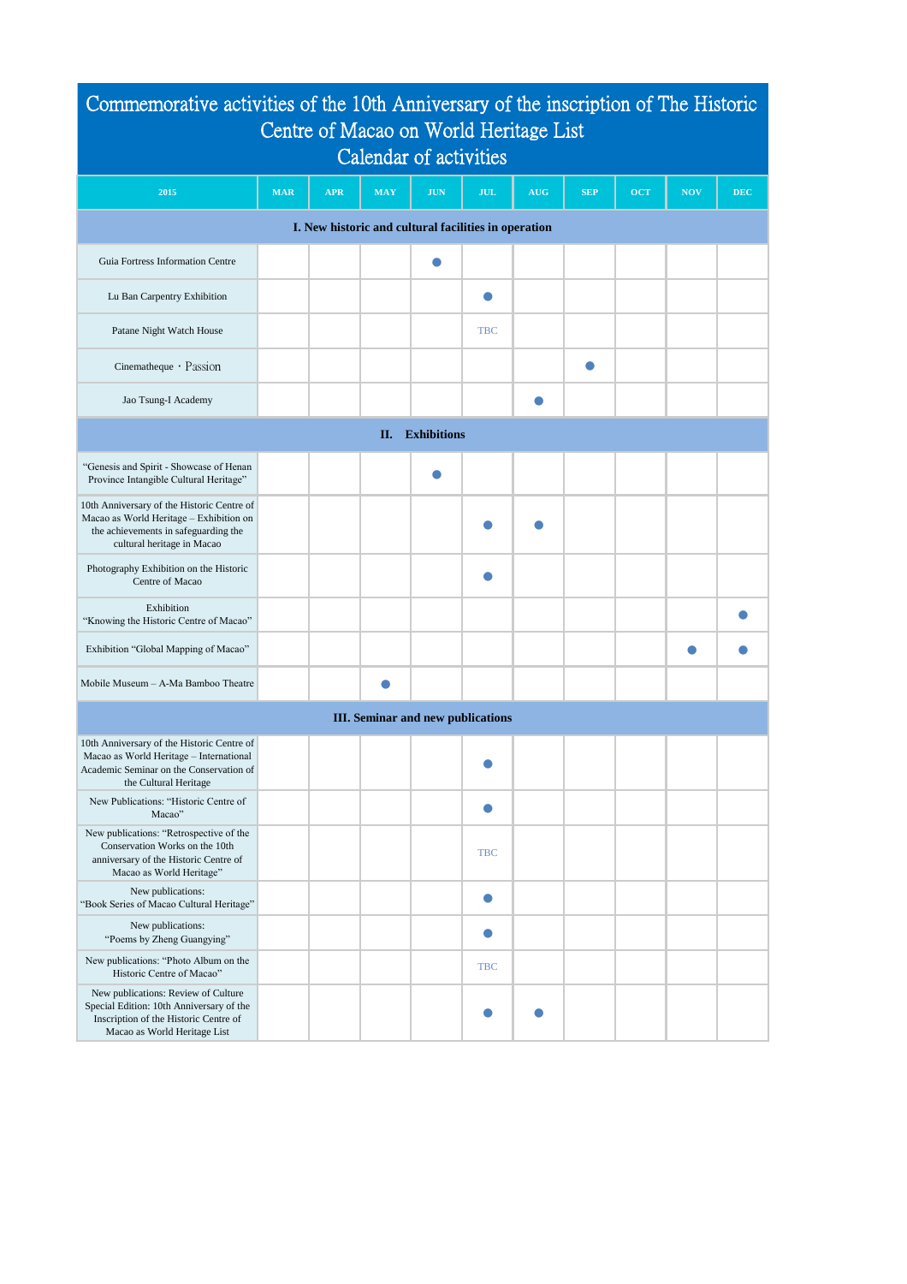| Commemorative activities of the 10th Anniversary of the inscription of The Historic<br>Centre of Macao on World Heritage List                               |            |            |            |            |            |            |            |            |            |            |  |
|-------------------------------------------------------------------------------------------------------------------------------------------------------------|------------|------------|------------|------------|------------|------------|------------|------------|------------|------------|--|
| <b>Calendar of activities</b>                                                                                                                               |            |            |            |            |            |            |            |            |            |            |  |
| 2015                                                                                                                                                        | <b>MAR</b> | <b>APR</b> | <b>MAY</b> | <b>JUN</b> | <b>JUL</b> | <b>AUG</b> | <b>SEP</b> | <b>OCT</b> | <b>NOV</b> | <b>DEC</b> |  |
| I. New historic and cultural facilities in operation                                                                                                        |            |            |            |            |            |            |            |            |            |            |  |
| Guia Fortress Information Centre                                                                                                                            |            |            |            |            |            |            |            |            |            |            |  |
| Lu Ban Carpentry Exhibition                                                                                                                                 |            |            |            |            |            |            |            |            |            |            |  |
| Patane Night Watch House                                                                                                                                    |            |            |            |            | <b>TBC</b> |            |            |            |            |            |  |
| Cinematheque $\cdot$ Passion                                                                                                                                |            |            |            |            |            |            |            |            |            |            |  |
| Jao Tsung-I Academy                                                                                                                                         |            |            |            |            |            |            |            |            |            |            |  |
| <b>Exhibitions</b><br>II.                                                                                                                                   |            |            |            |            |            |            |            |            |            |            |  |
| "Genesis and Spirit - Showcase of Henan<br>Province Intangible Cultural Heritage"                                                                           |            |            |            |            |            |            |            |            |            |            |  |
| 10th Anniversary of the Historic Centre of<br>Macao as World Heritage - Exhibition on<br>the achievements in safeguarding the<br>cultural heritage in Macao |            |            |            |            |            |            |            |            |            |            |  |
| Photography Exhibition on the Historic<br>Centre of Macao                                                                                                   |            |            |            |            |            |            |            |            |            |            |  |
| Exhibition<br>"Knowing the Historic Centre of Macao"                                                                                                        |            |            |            |            |            |            |            |            |            |            |  |
| Exhibition "Global Mapping of Macao"                                                                                                                        |            |            |            |            |            |            |            |            |            |            |  |
| Mobile Museum - A-Ma Bamboo Theatre                                                                                                                         |            |            |            |            |            |            |            |            |            |            |  |
| <b>III.</b> Seminar and new publications                                                                                                                    |            |            |            |            |            |            |            |            |            |            |  |
| 10th Anniversary of the Historic Centre of<br>Macao as World Heritage - International<br>Academic Seminar on the Conservation of<br>the Cultural Heritage   |            |            |            |            |            |            |            |            |            |            |  |
| New Publications: "Historic Centre of<br>Macao"                                                                                                             |            |            |            |            |            |            |            |            |            |            |  |
| New publications: "Retrospective of the<br>Conservation Works on the 10th<br>anniversary of the Historic Centre of<br>Macao as World Heritage"              |            |            |            |            | <b>TBC</b> |            |            |            |            |            |  |
| New publications:<br>"Book Series of Macao Cultural Heritage"                                                                                               |            |            |            |            |            |            |            |            |            |            |  |

| New publications:<br>"Poems by Zheng Guangying"                                                                                                          |  |  |            |  |  |  |
|----------------------------------------------------------------------------------------------------------------------------------------------------------|--|--|------------|--|--|--|
| New publications: "Photo Album on the<br>Historic Centre of Macao"                                                                                       |  |  | <b>TBC</b> |  |  |  |
| New publications: Review of Culture<br>Special Edition: 10th Anniversary of the<br>Inscription of the Historic Centre of<br>Macao as World Heritage List |  |  |            |  |  |  |